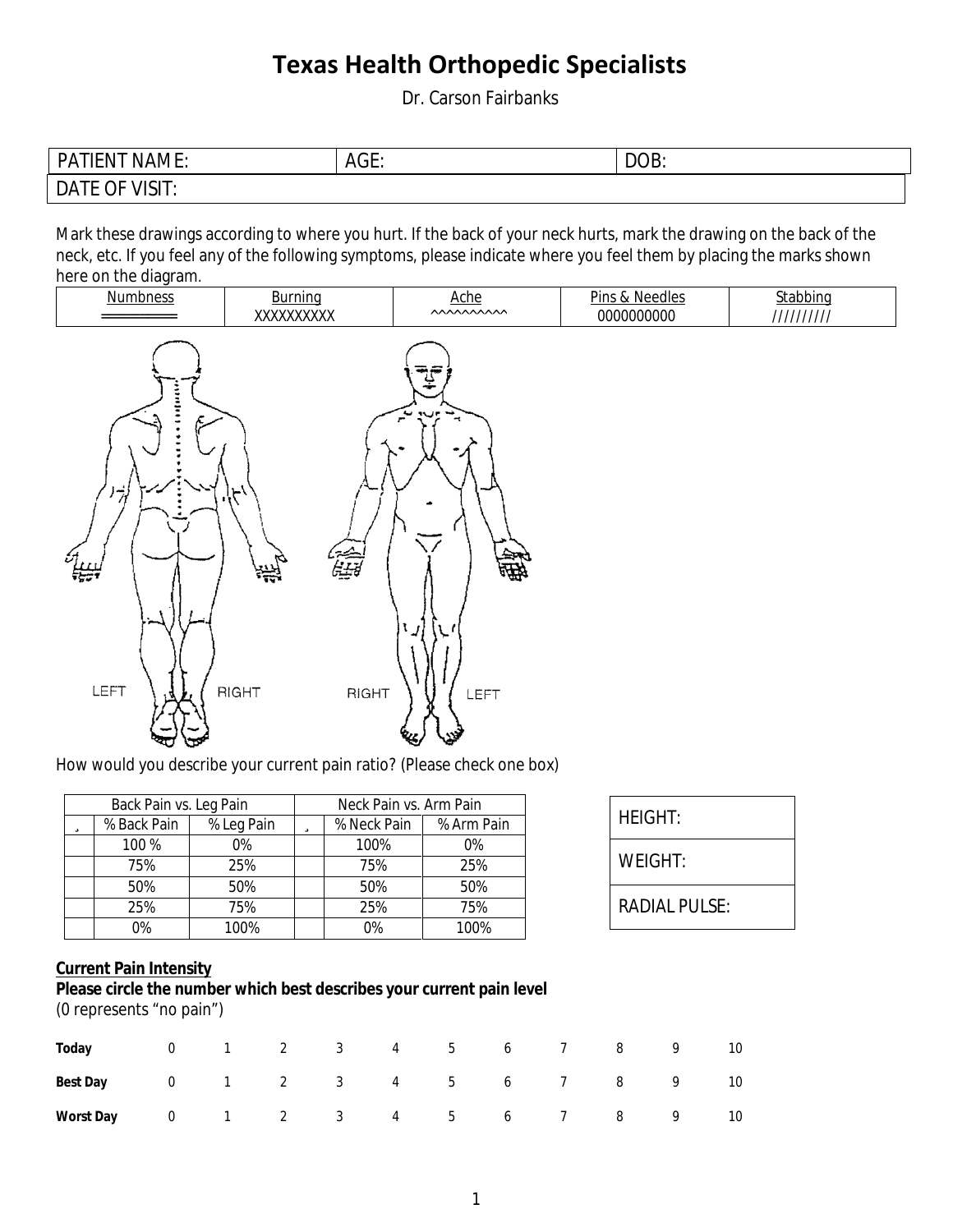Dr. Carson Fairbanks

| <b>PATIENT NAME:</b>  | AGE: | DOB: |
|-----------------------|------|------|
| <b>DATE OF VISIT:</b> |      |      |

Mark these drawings according to where you hurt. If the back of your neck hurts, mark the drawing on the back of the neck, etc. If you feel any of the following symptoms, please indicate where you feel them by placing the marks shown here on the diagram.



How would you describe your current pain ratio? (Please check one box)

|   | <b>Back Pain vs. Leg Pain</b> |       | <b>Neck Pain vs. Arm Pain</b> |      |       |             |            |  |
|---|-------------------------------|-------|-------------------------------|------|-------|-------------|------------|--|
| ü | % Back Pain<br>% Leg Pain     |       | Ü                             |      |       | % Neck Pain | % Arm Pain |  |
|   | 100 %                         | $0\%$ |                               | 100% | $0\%$ |             |            |  |
|   | 75%                           | 25%   |                               | 75%  | 25%   |             |            |  |
|   | 50%                           | 50%   |                               | 50%  | 50%   |             |            |  |
|   | 25%                           | 75%   |                               | 25%  | 75%   |             |            |  |
|   | 0%                            | 100%  |                               | 0%   | 100%  |             |            |  |

| <b>HEIGHT:</b>       |  |
|----------------------|--|
| WEIGHT:              |  |
| <b>RADIAL PULSE:</b> |  |

#### **Current Pain Intensity**

#### Please circle the number which best describes your current pain level (0 represents "no pain")

| Today 0 1 2 3 4 5 6 7 8 9 10           |  |  |  |  |  |  |
|----------------------------------------|--|--|--|--|--|--|
| <b>Best Day</b> 0 1 2 3 4 5 6 7 8 9 10 |  |  |  |  |  |  |
| Worst Day 0 1 2 3 4 5 6 7 8 9 10       |  |  |  |  |  |  |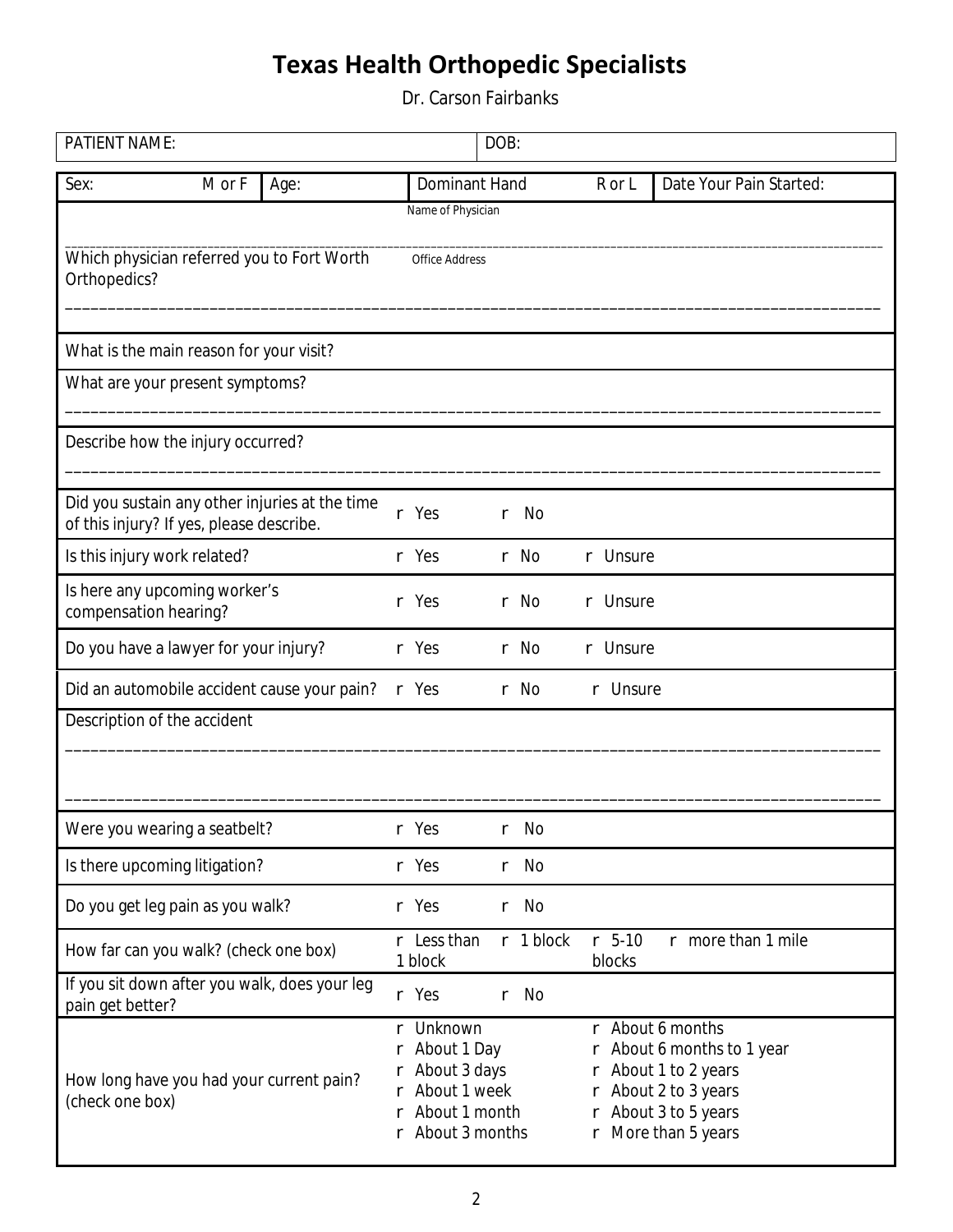Dr. Carson Fairbanks

| <b>PATIENT NAME:</b>         |                                          |                                                |             |                                                                                                                    | DOB: |             |    |                    |                                                                                                                                                    |
|------------------------------|------------------------------------------|------------------------------------------------|-------------|--------------------------------------------------------------------------------------------------------------------|------|-------------|----|--------------------|----------------------------------------------------------------------------------------------------------------------------------------------------|
| Sex:                         | M or F                                   | Age:                                           |             | <b>Dominant Hand</b>                                                                                               |      |             |    | R or L             | <b>Date Your Pain Started:</b>                                                                                                                     |
|                              |                                          |                                                |             | <b>Name of Physician</b>                                                                                           |      |             |    |                    |                                                                                                                                                    |
| Orthopedics?                 |                                          | Which physician referred you to Fort Worth     |             | <b>Office Address</b>                                                                                              |      |             |    |                    |                                                                                                                                                    |
|                              | What is the main reason for your visit?  |                                                |             |                                                                                                                    |      |             |    |                    |                                                                                                                                                    |
|                              | What are your present symptoms?          |                                                |             |                                                                                                                    |      |             |    |                    |                                                                                                                                                    |
|                              | Describe how the injury occurred?        |                                                |             |                                                                                                                    |      |             |    |                    |                                                                                                                                                    |
|                              | of this injury? If yes, please describe. | Did you sustain any other injuries at the time |             | r Yes                                                                                                              | r    | No          |    |                    |                                                                                                                                                    |
| Is this injury work related? |                                          |                                                |             | r Yes                                                                                                              |      | r No        |    | r Unsure           |                                                                                                                                                    |
| compensation hearing?        | Is here any upcoming worker's            |                                                | r           | Yes                                                                                                                |      | r No        | r. | <b>Unsure</b>      |                                                                                                                                                    |
|                              | Do you have a lawyer for your injury?    |                                                |             | r Yes                                                                                                              |      | r No        | r  | <b>Unsure</b>      |                                                                                                                                                    |
|                              |                                          | Did an automobile accident cause your pain?    |             | r Yes                                                                                                              |      | r No        |    | r Unsure           |                                                                                                                                                    |
|                              | <b>Description of the accident</b>       |                                                |             |                                                                                                                    |      |             |    |                    |                                                                                                                                                    |
|                              |                                          |                                                |             |                                                                                                                    |      |             |    |                    |                                                                                                                                                    |
|                              | Were you wearing a seatbelt?             |                                                |             | Yes                                                                                                                |      | No          |    |                    |                                                                                                                                                    |
|                              | Is there upcoming litigation?            |                                                |             | r Yes                                                                                                              | r    | No          |    |                    |                                                                                                                                                    |
|                              | Do you get leg pain as you walk?         |                                                |             | r Yes                                                                                                              |      | r No        |    |                    |                                                                                                                                                    |
|                              | How far can you walk? (check one box)    |                                                |             | r Less than<br>1 block                                                                                             |      | $r$ 1 block |    | $r$ 5-10<br>blocks | r more than 1 mile                                                                                                                                 |
| pain get better?             |                                          | If you sit down after you walk, does your leg  |             | r Yes                                                                                                              | r    | No          |    |                    |                                                                                                                                                    |
| (check one box)              |                                          | How long have you had your current pain?       | r<br>r<br>r | r Unknown<br><b>About 1 Day</b><br>r <b>About 3 days</b><br><b>About 1 week</b><br>About 1 month<br>About 3 months |      |             | r  |                    | r <b>About 6 months</b><br>r About 6 months to 1 year<br>r About 1 to 2 years<br>r About 2 to 3 years<br>About 3 to 5 years<br>r More than 5 years |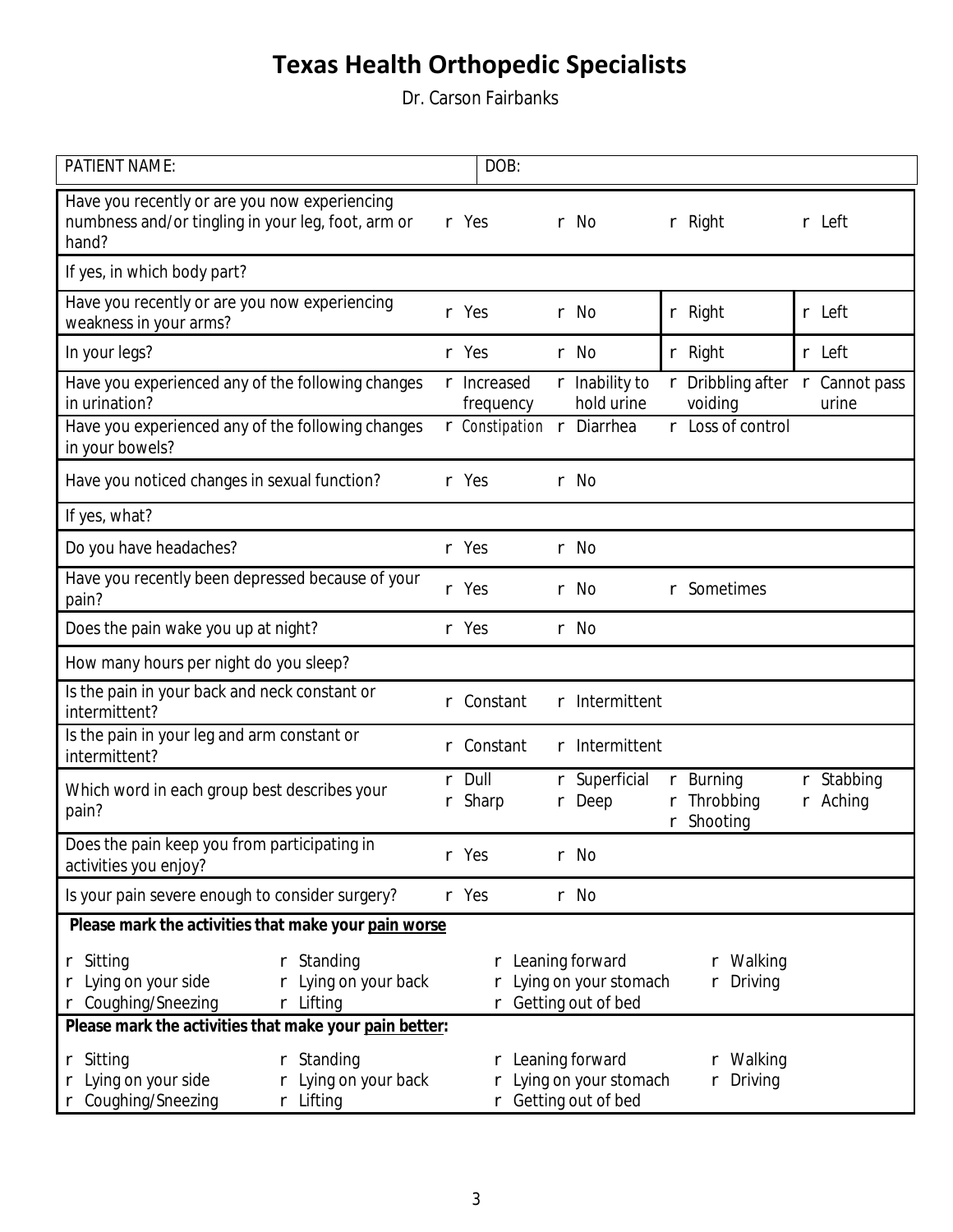Dr. Carson Fairbanks

| <b>PATIENT NAME:</b>                                                                                                   |                                                        | DOB:                            |        |                                                                      |               |                                                       |                               |
|------------------------------------------------------------------------------------------------------------------------|--------------------------------------------------------|---------------------------------|--------|----------------------------------------------------------------------|---------------|-------------------------------------------------------|-------------------------------|
| Have you recently or are you now experiencing<br>numbness and/or tingling in your leg, foot, arm or<br>hand?           |                                                        | r Yes                           |        | r No                                                                 |               | r Right                                               | r Left                        |
| If yes, in which body part?                                                                                            |                                                        |                                 |        |                                                                      |               |                                                       |                               |
| Have you recently or are you now experiencing<br>weakness in your arms?                                                |                                                        | r Yes                           |        | r No                                                                 |               | r Right                                               | r Left                        |
| In your legs?                                                                                                          |                                                        | r Yes                           |        | r No                                                                 |               | r Right                                               | r Left                        |
| Have you experienced any of the following changes<br>in urination?                                                     |                                                        | r <b>Increased</b><br>frequency |        | r <b>Inability to</b><br>hold urine                                  | $\Gamma$      | Dribbling after $\Gamma$ Cannot pass<br>voiding       | urine                         |
| Have you experienced any of the following changes<br>in your bowels?                                                   |                                                        | r Constipation r Diarrhea       |        |                                                                      |               | r Loss of control                                     |                               |
| Have you noticed changes in sexual function?                                                                           |                                                        | r Yes                           |        | r No                                                                 |               |                                                       |                               |
| If yes, what?                                                                                                          |                                                        |                                 |        |                                                                      |               |                                                       |                               |
| Do you have headaches?                                                                                                 |                                                        | r Yes                           |        | r No                                                                 |               |                                                       |                               |
| Have you recently been depressed because of your<br>pain?                                                              |                                                        | r Yes                           | r      | No                                                                   | r             | <b>Sometimes</b>                                      |                               |
| Does the pain wake you up at night?                                                                                    |                                                        | r Yes                           |        | r No                                                                 |               |                                                       |                               |
| How many hours per night do you sleep?                                                                                 |                                                        |                                 |        |                                                                      |               |                                                       |                               |
| Is the pain in your back and neck constant or<br>intermittent?                                                         | r                                                      | Constant                        | r      | <b>Intermittent</b>                                                  |               |                                                       |                               |
| Is the pain in your leg and arm constant or<br>intermittent?                                                           | r.                                                     | Constant                        | r      | <b>Intermittent</b>                                                  |               |                                                       |                               |
| Which word in each group best describes your<br>pain?                                                                  | r                                                      | r Dull<br><b>Sharp</b>          | r<br>r | <b>Superficial</b><br>Deep                                           | r<br>$\Gamma$ | <b>Burning</b><br><b>Throbbing</b><br><b>Shooting</b> | r Stabbing<br>r <b>Aching</b> |
| Does the pain keep you from participating in<br>activities you enjoy?                                                  |                                                        | r Yes                           |        | r No                                                                 |               |                                                       |                               |
| Is your pain severe enough to consider surgery?                                                                        |                                                        | r Yes                           |        | r No                                                                 |               |                                                       |                               |
| Please mark the activities that make your pain worse                                                                   |                                                        |                                 |        |                                                                      |               |                                                       |                               |
| <b>Standing</b><br>r Sitting<br>r<br>Lying on your side<br>Lying on your back<br>r<br>r Coughing/Sneezing<br>r Lifting |                                                        | r                               |        | r Leaning forward<br>Lying on your stomach<br>r Getting out of bed   |               | r Walking<br>r Driving                                |                               |
|                                                                                                                        | Please mark the activities that make your pain better: |                                 |        |                                                                      |               |                                                       |                               |
| <b>Standing</b><br>r Sitting<br>r<br>Lying on your side<br>Lying on your back<br><b>Coughing/Sneezing</b><br>r Lifting |                                                        |                                 |        | r Leaning forward<br>r Lying on your stomach<br>r Getting out of bed |               | r Walking<br>r Driving                                |                               |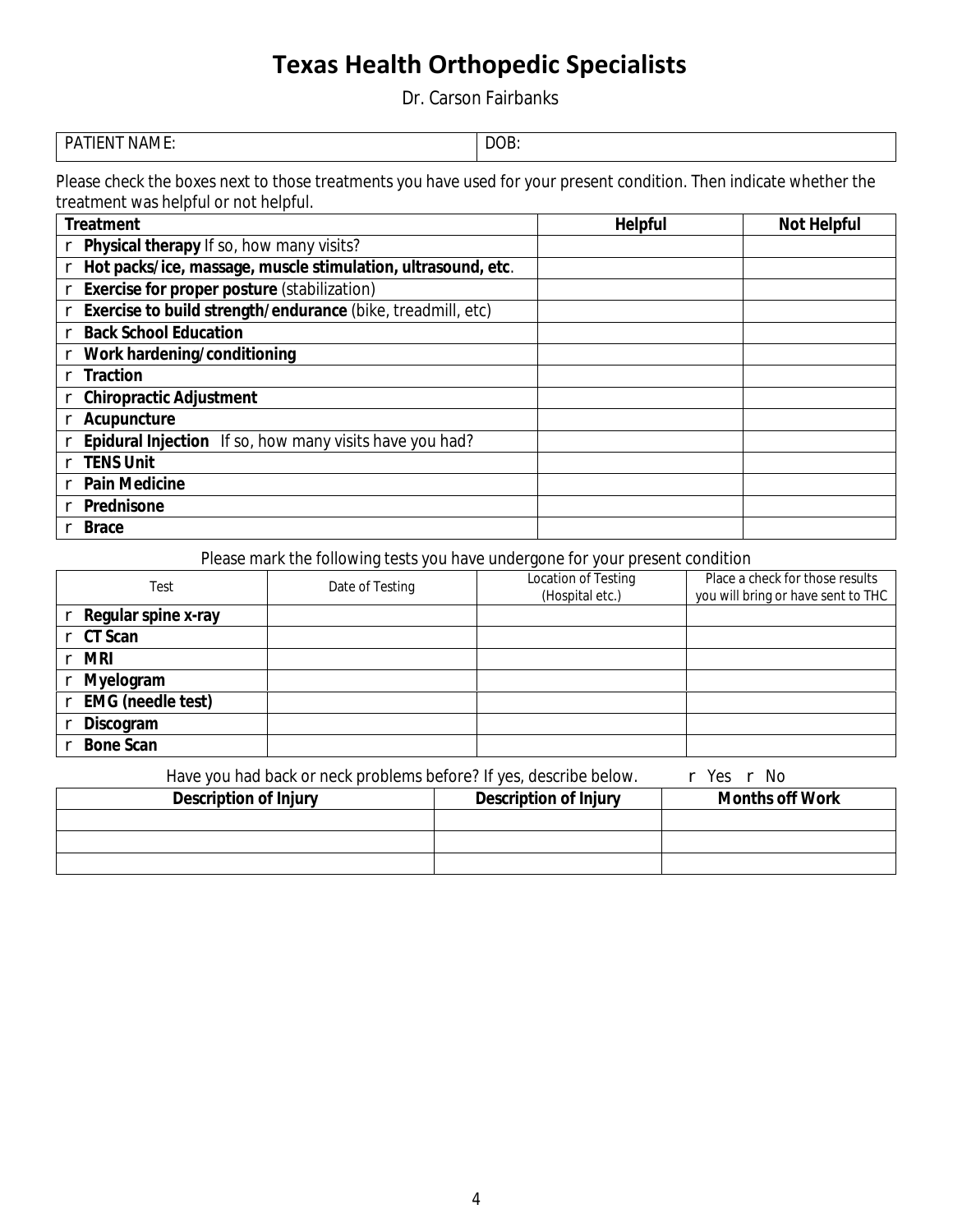Dr. Carson Fairbanks

| <b>PATIENT NAME:</b> | $\bf{D}$<br>DС<br>VD |
|----------------------|----------------------|
|                      |                      |

Please check the boxes next to those treatments you have used for your present condition. Then indicate whether the treatment was helpful or not helpful.

| <b>Treatment</b>                                                   | <b>Helpful</b> | <b>Not Helpful</b> |
|--------------------------------------------------------------------|----------------|--------------------|
| Physical therapy If so, how many visits?                           |                |                    |
| Hot packs/ice, massage, muscle stimulation, ultrasound, etc.       |                |                    |
| <b>Exercise for proper posture (stabilization)</b>                 |                |                    |
| <b>Exercise to build strength/endurance (bike, treadmill, etc)</b> |                |                    |
| <b>Back School Education</b><br>r                                  |                |                    |
| Work hardening/conditioning                                        |                |                    |
| <b>Traction</b>                                                    |                |                    |
| <b>Chiropractic Adjustment</b>                                     |                |                    |
| <b>Acupuncture</b>                                                 |                |                    |
| <b>Epidural Injection</b> If so, how many visits have you had?     |                |                    |
| <b>TENS Unit</b>                                                   |                |                    |
| <b>Pain Medicine</b>                                               |                |                    |
| <b>Prednisone</b>                                                  |                |                    |
| <b>Brace</b>                                                       |                |                    |

### Please mark the following tests you have undergone for your present condition

| <b>Test</b>              | Date of Testing | <b>Location of Testing</b><br>(Hospital etc.) | Place a check for those results<br>you will bring or have sent to THC |
|--------------------------|-----------------|-----------------------------------------------|-----------------------------------------------------------------------|
| Regular spine x-ray      |                 |                                               |                                                                       |
| <b>CT</b> Scan           |                 |                                               |                                                                       |
| <b>MR</b><br>r.          |                 |                                               |                                                                       |
| <b>Myelogram</b><br>r    |                 |                                               |                                                                       |
| <b>EMG</b> (needle test) |                 |                                               |                                                                       |
| Discogram                |                 |                                               |                                                                       |
| <b>Bone Scan</b>         |                 |                                               |                                                                       |

Have you had back or neck problems before? If yes, describe below. r Yes r No

| <b>Description of Injury</b> | <b>Description of Injury</b> | <b>Months off Work</b> |
|------------------------------|------------------------------|------------------------|
|                              |                              |                        |
|                              |                              |                        |
|                              |                              |                        |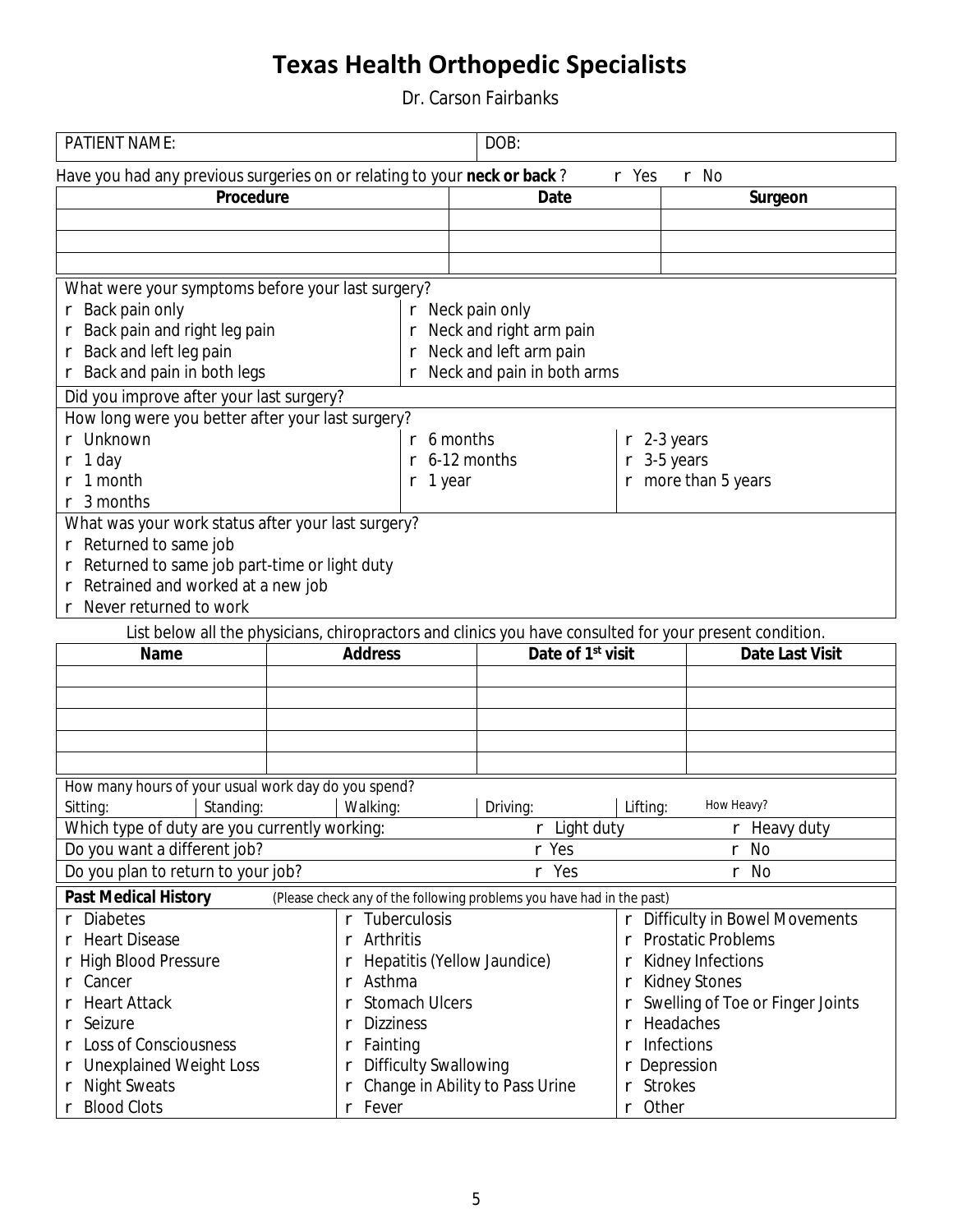Dr. Carson Fairbanks

| <b>PATIENT NAME:</b>                                                                                    |                                   | DOB:                                                                  |                                     |                                         |  |  |
|---------------------------------------------------------------------------------------------------------|-----------------------------------|-----------------------------------------------------------------------|-------------------------------------|-----------------------------------------|--|--|
| Have you had any previous surgeries on or relating to your neck or back?                                |                                   |                                                                       | r Yes                               | r No                                    |  |  |
| <b>Procedure</b>                                                                                        |                                   | <b>Date</b>                                                           |                                     | Surgeon                                 |  |  |
|                                                                                                         |                                   |                                                                       |                                     |                                         |  |  |
|                                                                                                         |                                   |                                                                       |                                     |                                         |  |  |
|                                                                                                         |                                   |                                                                       |                                     |                                         |  |  |
| What were your symptoms before your last surgery?                                                       |                                   |                                                                       |                                     |                                         |  |  |
| r Back pain only                                                                                        |                                   | r Neck pain only                                                      |                                     |                                         |  |  |
| Back pain and right leg pain                                                                            |                                   | r Neck and right arm pain                                             |                                     |                                         |  |  |
| <b>Back and left leg pain</b>                                                                           |                                   | r Neck and left arm pain                                              |                                     |                                         |  |  |
| <b>Back and pain in both legs</b>                                                                       |                                   | Neck and pain in both arms                                            |                                     |                                         |  |  |
| Did you improve after your last surgery?                                                                |                                   |                                                                       |                                     |                                         |  |  |
| How long were you better after your last surgery?                                                       |                                   |                                                                       |                                     |                                         |  |  |
| <b>Unknown</b>                                                                                          |                                   | $r$ 6 months                                                          | $r$ 2-3 years                       |                                         |  |  |
| 1 day                                                                                                   | r                                 | 6-12 months                                                           | $r$ 3-5 years                       |                                         |  |  |
| 1 month                                                                                                 | $r1$ year                         |                                                                       |                                     | $r$ more than 5 years                   |  |  |
| 3 months<br>r                                                                                           |                                   |                                                                       |                                     |                                         |  |  |
| What was your work status after your last surgery?                                                      |                                   |                                                                       |                                     |                                         |  |  |
| r Returned to same job                                                                                  |                                   |                                                                       |                                     |                                         |  |  |
| Returned to same job part-time or light duty                                                            |                                   |                                                                       |                                     |                                         |  |  |
| Retrained and worked at a new job                                                                       |                                   |                                                                       |                                     |                                         |  |  |
| <b>Never returned to work</b>                                                                           |                                   |                                                                       |                                     |                                         |  |  |
|                                                                                                         |                                   |                                                                       |                                     |                                         |  |  |
| List below all the physicians, chiropractors and clinics you have consulted for your present condition. |                                   | Date of 1 <sup>st</sup> visit                                         |                                     |                                         |  |  |
| <b>Name</b>                                                                                             | <b>Address</b>                    |                                                                       |                                     | <b>Date Last Visit</b>                  |  |  |
|                                                                                                         |                                   |                                                                       |                                     |                                         |  |  |
|                                                                                                         |                                   |                                                                       |                                     |                                         |  |  |
|                                                                                                         |                                   |                                                                       |                                     |                                         |  |  |
|                                                                                                         |                                   |                                                                       |                                     |                                         |  |  |
|                                                                                                         |                                   |                                                                       |                                     |                                         |  |  |
| How many hours of your usual work day do you spend?                                                     |                                   |                                                                       |                                     |                                         |  |  |
| Sitting:<br><b>Standing:</b>                                                                            | <b>Walking:</b>                   | Driving:                                                              | Lifting:                            | <b>How Heavy?</b>                       |  |  |
| Which type of duty are you currently working:                                                           |                                   | $r$ Light duty                                                        |                                     | $r$ Heavy duty                          |  |  |
| Do you want a different job?                                                                            |                                   | r Yes                                                                 |                                     | r No                                    |  |  |
| Do you plan to return to your job?<br>r Yes<br>r No                                                     |                                   |                                                                       |                                     |                                         |  |  |
|                                                                                                         |                                   |                                                                       |                                     |                                         |  |  |
| <b>Past Medical History</b>                                                                             |                                   | (Please check any of the following problems you have had in the past) |                                     |                                         |  |  |
| <b>Diabetes</b>                                                                                         | r Tuberculosis                    |                                                                       |                                     | r Difficulty in Bowel Movements         |  |  |
| <b>Heart Disease</b>                                                                                    | <b>Arthritis</b><br>r             |                                                                       | r                                   | <b>Prostatic Problems</b>               |  |  |
| <b>High Blood Pressure</b>                                                                              |                                   | <b>Hepatitis (Yellow Jaundice)</b>                                    |                                     | <b>Kidney Infections</b>                |  |  |
| <b>Cancer</b>                                                                                           | Asthma<br>r                       |                                                                       | r                                   | <b>Kidney Stones</b>                    |  |  |
| <b>Heart Attack</b>                                                                                     | <b>Stomach Ulcers</b><br>r        |                                                                       |                                     | <b>Swelling of Toe or Finger Joints</b> |  |  |
| <b>Seizure</b>                                                                                          | <b>Dizziness</b>                  |                                                                       | <b>Headaches</b>                    |                                         |  |  |
| <b>Loss of Consciousness</b>                                                                            | r                                 |                                                                       | <b>Infections</b><br>r              |                                         |  |  |
|                                                                                                         | <b>Fainting</b><br>r              |                                                                       |                                     |                                         |  |  |
| <b>Unexplained Weight Loss</b><br><b>Night Sweats</b><br>r                                              | <b>Difficulty Swallowing</b><br>r | <b>Change in Ability to Pass Urine</b>                                | r Depression<br><b>Strokes</b><br>r |                                         |  |  |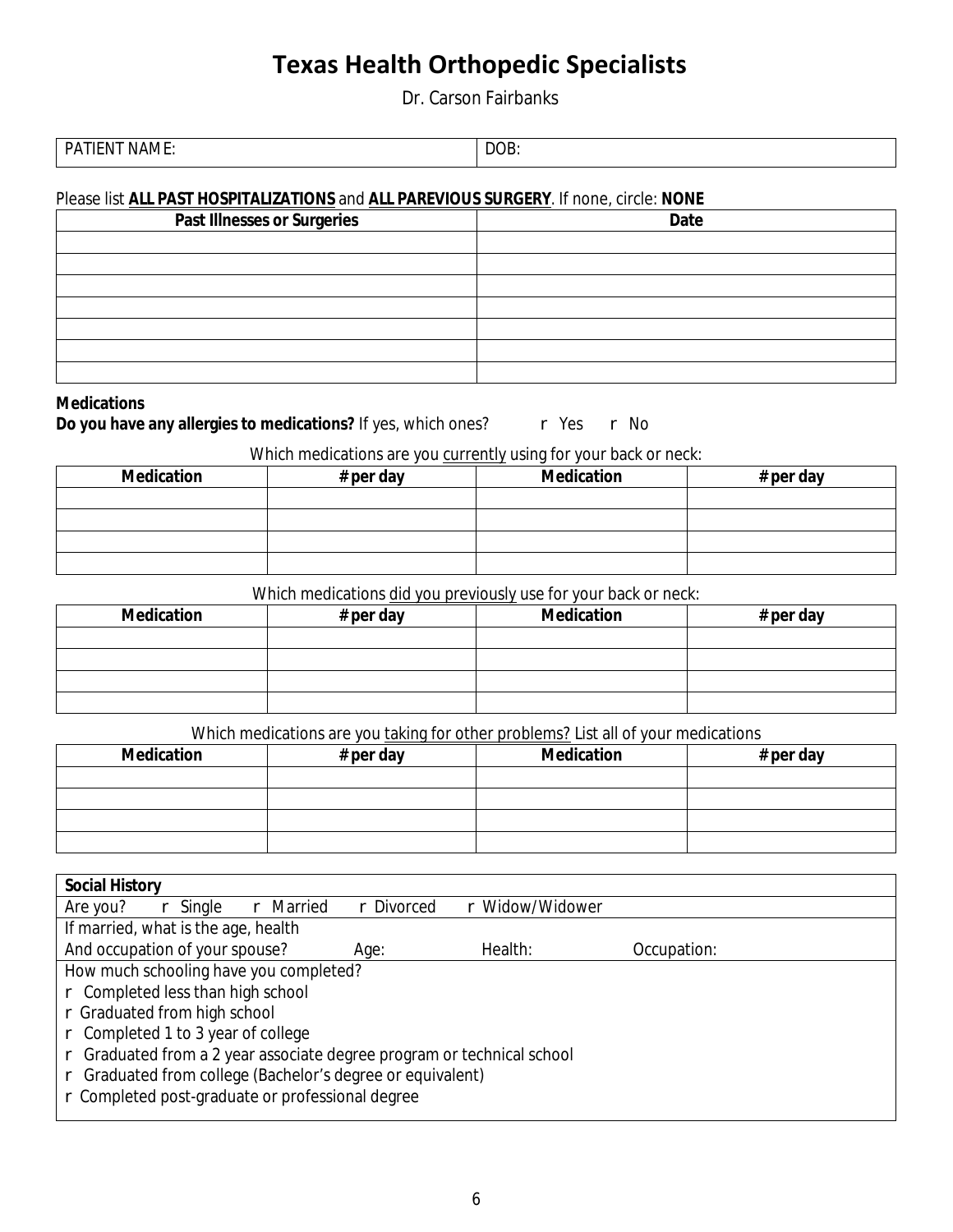Dr. Carson Fairbanks

| ------<br>PΔ<br>тп<br>ιM<br>N<br>--<br><br>$\mathbf{M}$<br>--- | <b>DOL</b><br>,,,,<br>$ -$ |
|----------------------------------------------------------------|----------------------------|

#### Please list **ALL PAST HOSPITALIZATIONS** and **ALL PAREVIOUS SURGERY**. If none, circle: NONE

| <b>Past Illnesses or Surgeries</b> | <b>Date</b> |
|------------------------------------|-------------|
|                                    |             |
|                                    |             |
|                                    |             |
|                                    |             |
|                                    |             |
|                                    |             |
|                                    |             |

#### **Medications**

Do you have any allergies to medications? If yes, which ones? r Yes r No

### Which medications are you currently using for your back or neck:

| <b>Medication</b> | # per day | <b>Medication</b> | # per day |
|-------------------|-----------|-------------------|-----------|
|                   |           |                   |           |
|                   |           |                   |           |
|                   |           |                   |           |
|                   |           |                   |           |

#### Which medications did you previously use for your back or neck:

| <b>Medication</b> | # per day | <b>Medication</b> | # per day |
|-------------------|-----------|-------------------|-----------|
|                   |           |                   |           |
|                   |           |                   |           |
|                   |           |                   |           |
|                   |           |                   |           |

#### Which medications are you taking for other problems? List all of your medications

| <b>Medication</b> | $#$ per day | <b>Medication</b> | # per day |
|-------------------|-------------|-------------------|-----------|
|                   |             |                   |           |
|                   |             |                   |           |
|                   |             |                   |           |
|                   |             |                   |           |

| <b>Social History</b>                                                     |            |                 |             |  |
|---------------------------------------------------------------------------|------------|-----------------|-------------|--|
| <b>Married</b><br>Are you?<br>Single<br>r                                 | r Divorced | r Widow/Widower |             |  |
| If married, what is the age, health                                       |            |                 |             |  |
| And occupation of your spouse?                                            | Age:       | <b>Health:</b>  | Occupation: |  |
| How much schooling have you completed?                                    |            |                 |             |  |
| r Completed less than high school                                         |            |                 |             |  |
| r Graduated from high school                                              |            |                 |             |  |
| Completed 1 to 3 year of college<br>$r_{\rm}$                             |            |                 |             |  |
| Graduated from a 2 year associate degree program or technical school<br>r |            |                 |             |  |
| Graduated from college (Bachelor's degree or equivalent)                  |            |                 |             |  |
| r Completed post-graduate or professional degree                          |            |                 |             |  |